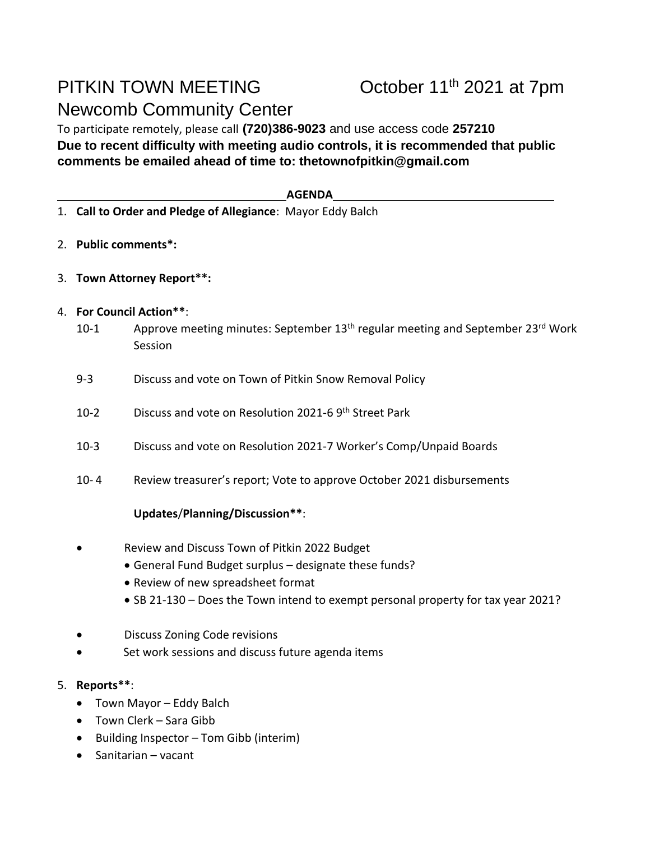# PITKIN TOWN MEETING Newcomb Community Center

## October 11<sup>th</sup> 2021 at 7pm

To participate remotely, please call **(720)386-9023** and use access code **257210 Due to recent difficulty with meeting audio controls, it is recommended that public comments be emailed ahead of time to: thetownofpitkin@gmail.com**

#### **AGENDA**

- 1. **Call to Order and Pledge of Allegiance**: Mayor Eddy Balch
- 2. **Public comments\*:**
- 3. **Town Attorney Report\*\*:**
- 4. **For Council Action\*\***:
	- 10-1 Approve meeting minutes: September 13<sup>th</sup> regular meeting and September 23<sup>rd</sup> Work Session
	- 9-3 Discuss and vote on Town of Pitkin Snow Removal Policy
	- 10-2 Discuss and vote on Resolution 2021-6 9th Street Park
	- 10-3 Discuss and vote on Resolution 2021-7 Worker's Comp/Unpaid Boards
	- 10- 4 Review treasurer's report; Vote to approve October 2021 disbursements

### **Updates**/**Planning/Discussion\*\***:

- Review and Discuss Town of Pitkin 2022 Budget
	- General Fund Budget surplus designate these funds?
	- Review of new spreadsheet format
	- SB 21-130 Does the Town intend to exempt personal property for tax year 2021?
- Discuss Zoning Code revisions
- Set work sessions and discuss future agenda items

### 5. **Reports\*\***:

- Town Mayor Eddy Balch
- Town Clerk Sara Gibb
- Building Inspector Tom Gibb (interim)
- Sanitarian vacant